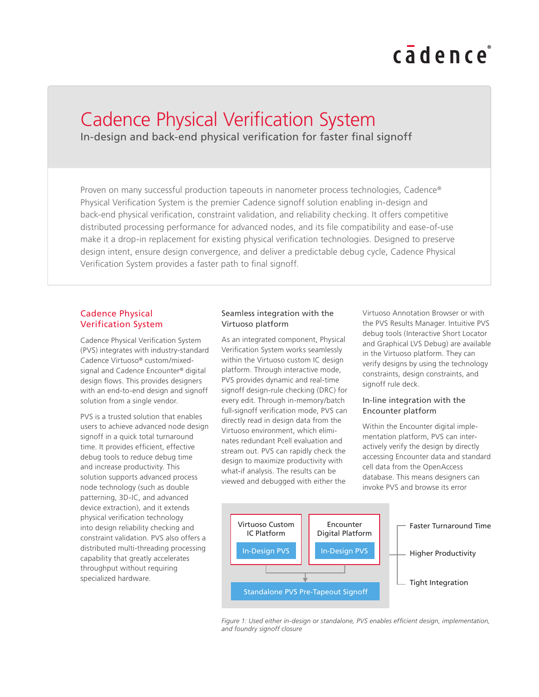# cadence

# Cadence Physical Verification System

In-design and back-end physical verification for faster final signoff

Proven on many successful production tapeouts in nanometer process technologies, Cadence® Physical Verification System is the premier Cadence signoff solution enabling in-design and back-end physical verification, constraint validation, and reliability checking. It offers competitive distributed processing performance for advanced nodes, and its file compatibility and ease-of-use make it a drop-in replacement for existing physical verification technologies. Designed to preserve design intent, ensure design convergence, and deliver a predictable debug cycle, Cadence Physical Verification System provides a faster path to final signoff.

# Cadence Physical Verification System

Cadence Physical Verification System (PVS) integrates with industry-standard Cadence Virtuoso® custom/mixedsignal and Cadence Encounter® digital design flows. This provides designers with an end-to-end design and signoff solution from a single vendor.

PVS is a trusted solution that enables users to achieve advanced node design signoff in a quick total turnaround time. It provides efficient, effective debug tools to reduce debug time and increase productivity. This solution supports advanced process node technology (such as double patterning, 3D-IC, and advanced device extraction), and it extends physical verification technology into design reliability checking and constraint validation. PVS also offers a distributed multi-threading processing capability that greatly accelerates throughput without requiring specialized hardware.

# Seamless integration with the Virtuoso platform

As an integrated component, Physical Verification System works seamlessly within the Virtuoso custom IC design platform. Through interactive mode, PVS provides dynamic and real-time signoff design-rule checking (DRC) for every edit. Through in-memory/batch full-signoff verification mode, PVS can directly read in design data from the Virtuoso environment, which eliminates redundant Pcell evaluation and stream out. PVS can rapidly check the design to maximize productivity with what-if analysis. The results can be viewed and debugged with either the

Virtuoso Annotation Browser or with the PVS Results Manager. Intuitive PVS debug tools (Interactive Short Locator and Graphical LVS Debug) are available in the Virtuoso platform. They can verify designs by using the technology constraints, design constraints, and signoff rule deck.

#### In-line integration with the Encounter platform

Within the Encounter digital implementation platform, PVS can interactively verify the design by directly accessing Encounter data and standard cell data from the OpenAccess database. This means designers can invoke PVS and browse its error



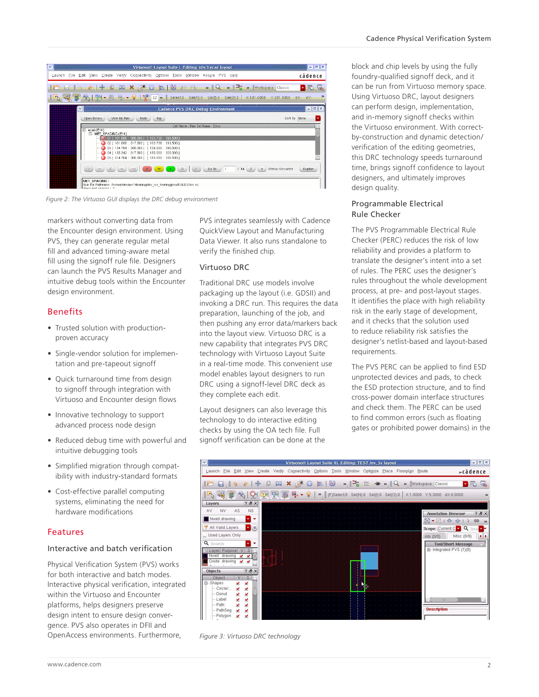| Ϊv                                                                                                                                                                                                                                                                                                                                                                                                                                   | Virtuoso® Layout Suite L Editing: tdrc3 ecad layout                                     |                                                            | $\blacksquare$ $\blacksquare$             |
|--------------------------------------------------------------------------------------------------------------------------------------------------------------------------------------------------------------------------------------------------------------------------------------------------------------------------------------------------------------------------------------------------------------------------------------|-----------------------------------------------------------------------------------------|------------------------------------------------------------|-------------------------------------------|
| Launch Eile Edit View Create Verify                                                                                                                                                                                                                                                                                                                                                                                                  | Connectivity Options Tools Window Assura PVS Help                                       |                                                            | cādence                                   |
| $X \mathbb{R}^n$<br>Ü<br>带<br><b>SID</b><br>$\left\langle \cdot \right\rangle$<br>Ô                                                                                                                                                                                                                                                                                                                                                  | $\left( \bullet \right)$<br>$^\copyright$<br>B.<br>49<br>$\mathbb{C}$<br>$\mathbf{v}$ . | 세계<br>Workspace: Classic<br>$\rightarrow$<br>$\rightarrow$ | - 타<br>G                                  |
| $\mathbb{R} \cdot \mathbb{S}$<br>138<br>$\mathbb{R}$ $\mathbb{R}$ , $\mathbb{R}$<br>$\frac{1}{2}$<br>籌<br>$\mathbb{Z}$                                                                                                                                                                                                                                                                                                               | $32 - 32$<br>Select:0<br>Sel(N):0                                                       | Sel(0):0<br>Sel(O): 0<br>X:101,4000                        | $\rightarrow$<br>dX:<br>dY:<br>Y:391.9000 |
| $\vee$                                                                                                                                                                                                                                                                                                                                                                                                                               | <b>Cadence PVS DRC Debug Environment</b>                                                |                                                            | $ \mathbf{E}$                             |
| Mew By Rule<br>Tools<br>Open Errors                                                                                                                                                                                                                                                                                                                                                                                                  | Top                                                                                     |                                                            | l v<br>Sort By Name                       |
| $\Box$ - ecad (E14)<br>E-MET_SPACING (E14)<br>01 [ 101,000 : 388,500 ]<br>02   101.000 : 317.500     103.736 : 319.500  <br>03   154.764 : 388.500     159.000 : 390.500  <br>$-$ 04 [ 155.342 : 317.500 ] [ 159.000 : 320.000 ]<br>$-$ 05 [ 514.764 : 388.500 ] [ 519.000 : 390.500 ]<br>K<br>$\left\langle \cdot\right\rangle$<br>MET SPACING:<br>Rule File Pathname: /home/imlee/usr1/training/drc Ivs training/bys/RULES/drc.rul | Cell Name : Rule Set Name : Error<br>[ 103.736 : 390.500 ]<br>0                         | Go To<br>$/14$ $Z$<br>Z                                    | E<br>Status: Unvisited<br>Explain         |

*Figure 2: The Virtuoso GUI displays the DRC debug environment*

markers without converting data from the Encounter design environment. Using PVS, they can generate regular metal fill and advanced timing-aware metal fill using the signoff rule file. Designers can launch the PVS Results Manager and intuitive debug tools within the Encounter design environment.

# Benefits

- Trusted solution with productionproven accuracy
- Single-vendor solution for implementation and pre-tapeout signoff
- Quick turnaround time from design to signoff through integration with Virtuoso and Encounter design flows
- Innovative technology to support advanced process node design
- Reduced debug time with powerful and intuitive debugging tools
- Simplified migration through compatibility with industry-standard formats
- Cost-effective parallel computing systems, eliminating the need for hardware modifications

# Features

#### Interactive and batch verification

Physical Verification System (PVS) works for both interactive and batch modes. Interactive physical verification, integrated within the Virtuoso and Encounter platforms, helps designers preserve design intent to ensure design convergence. PVS also operates in DFII and OpenAccess environments. Furthermore,

PVS integrates seamlessly with Cadence QuickView Layout and Manufacturing Data Viewer. It also runs standalone to verify the finished chip.

#### Virtuoso DRC

Traditional DRC use models involve packaging up the layout (i.e. GDSII) and invoking a DRC run. This requires the data preparation, launching of the job, and then pushing any error data/markers back into the layout view. Virtuoso DRC is a new capability that integrates PVS DRC technology with Virtuoso Layout Suite in a real-time mode. This convenient use model enables layout designers to run DRC using a signoff-level DRC deck as they complete each edit.

Layout designers can also leverage this technology to do interactive editing checks by using the OA tech file. Full signoff verification can be done at the

block and chip levels by using the fully foundry-qualified signoff deck, and it can be run from Virtuoso memory space. Using Virtuoso DRC, layout designers can perform design, implementation, and in-memory signoff checks within the Virtuoso environment. With correctby-construction and dynamic detection/ verification of the editing geometries, this DRC technology speeds turnaround time, brings signoff confidence to layout designers, and ultimately improves design quality.

#### Programmable Electrical Rule Checker

The PVS Programmable Electrical Rule Checker (PERC) reduces the risk of low reliability and provides a platform to translate the designer's intent into a set of rules. The PERC uses the designer's rules throughout the whole development process, at pre- and post-layout stages. It identifies the place with high reliability risk in the early stage of development, and it checks that the solution used to reduce reliability risk satisfies the designer's netlist-based and layout-based requirements.

The PVS PERC can be applied to find ESD unprotected devices and pads, to check the ESD protection structure, and to find cross-power domain interface structures and check them. The PERC can be used to find common errors (such as floating gates or prohibited power domains) in the



*Figure 3: Virtuoso DRC technology*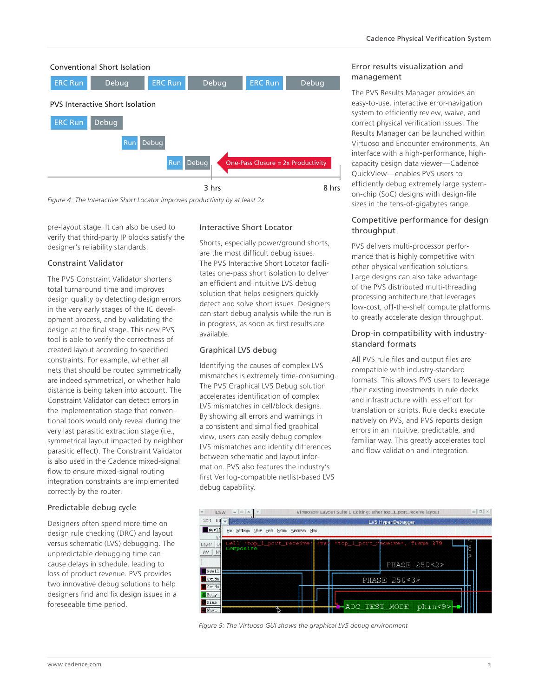

*Figure 4: The Interactive Short Locator improves productivity by at least 2x*

pre-layout stage. It can also be used to verify that third-party IP blocks satisfy the designer's reliability standards.

#### Constraint Validator

The PVS Constraint Validator shortens total turnaround time and improves design quality by detecting design errors in the very early stages of the IC development process, and by validating the design at the final stage. This new PVS tool is able to verify the correctness of created layout according to specified constraints. For example, whether all nets that should be routed symmetrically are indeed symmetrical, or whether halo distance is being taken into account. The Constraint Validator can detect errors in the implementation stage that conventional tools would only reveal during the very last parasitic extraction stage (i.e., symmetrical layout impacted by neighbor parasitic effect). The Constraint Validator is also used in the Cadence mixed-signal flow to ensure mixed-signal routing integration constraints are implemented correctly by the router.

#### Predictable debug cycle

Designers often spend more time on design rule checking (DRC) and layout versus schematic (LVS) debugging. The unpredictable debugging time can cause delays in schedule, leading to loss of product revenue. PVS provides two innovative debug solutions to help designers find and fix design issues in a foreseeable time period.

#### Interactive Short Locator

Shorts, especially power/ground shorts, are the most difficult debug issues. The PVS Interactive Short Locator facilitates one-pass short isolation to deliver an efficient and intuitive LVS debug solution that helps designers quickly detect and solve short issues. Designers can start debug analysis while the run is in progress, as soon as first results are available.

#### Graphical LVS debug

Identifying the causes of complex LVS mismatches is extremely time-consuming. The PVS Graphical LVS Debug solution accelerates identification of complex LVS mismatches in cell/block designs. By showing all errors and warnings in a consistent and simplified graphical view, users can easily debug complex LVS mismatches and identify differences between schematic and layout information. PVS also features the industry's first Verilog-compatible netlist-based LVS debug capability.

#### Error results visualization and management

The PVS Results Manager provides an easy-to-use, interactive error-navigation system to efficiently review, waive, and correct physical verification issues. The Results Manager can be launched within Virtuoso and Encounter environments. An interface with a high-performance, highcapacity design data viewer—Cadence QuickView—enables PVS users to efficiently debug extremely large systemon-chip (SoC) designs with design-file sizes in the tens-of-gigabytes range.

## Competitive performance for design throughput

PVS delivers multi-processor performance that is highly competitive with other physical verification solutions. Large designs can also take advantage of the PVS distributed multi-threading processing architecture that leverages low-cost, off-the-shelf compute platforms to greatly accelerate design throughput.

## Drop-in compatibility with industrystandard formats

All PVS rule files and output files are compatible with industry-standard formats. This allows PVS users to leverage their existing investments in rule decks and infrastructure with less effort for translation or scripts. Rule decks execute natively on PVS, and PVS reports design errors in an intuitive, predictable, and familiar way. This greatly accelerates tool and flow validation and integration.



*Figure 5: The Virtuoso GUI shows the graphical LVS debug environment*